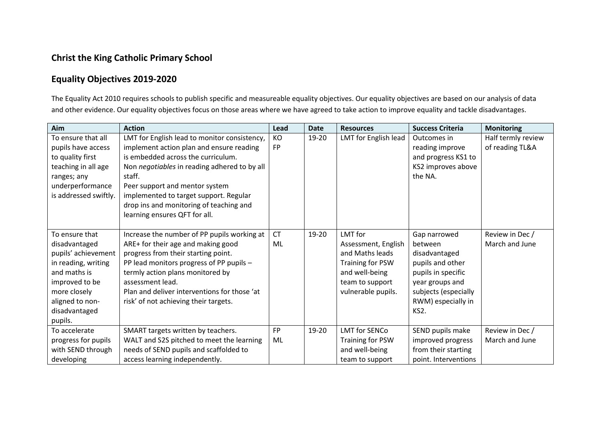## **Christ the King Catholic Primary School**

## **Equality Objectives 2019-2020**

The Equality Act 2010 requires schools to publish specific and measureable equality objectives. Our equality objectives are based on our analysis of data and other evidence. Our equality objectives focus on those areas where we have agreed to take action to improve equality and tackle disadvantages.

| Aim                   | <b>Action</b>                                | Lead      | <b>Date</b> | <b>Resources</b>     | <b>Success Criteria</b> | <b>Monitoring</b>  |
|-----------------------|----------------------------------------------|-----------|-------------|----------------------|-------------------------|--------------------|
| To ensure that all    | LMT for English lead to monitor consistency, | KO        | 19-20       | LMT for English lead | Outcomes in             | Half termly review |
| pupils have access    | implement action plan and ensure reading     | <b>FP</b> |             |                      | reading improve         | of reading TL&A    |
| to quality first      | is embedded across the curriculum.           |           |             |                      | and progress KS1 to     |                    |
| teaching in all age   | Non negotiables in reading adhered to by all |           |             |                      | KS2 improves above      |                    |
| ranges; any           | staff.                                       |           |             |                      | the NA.                 |                    |
| underperformance      | Peer support and mentor system               |           |             |                      |                         |                    |
| is addressed swiftly. | implemented to target support. Regular       |           |             |                      |                         |                    |
|                       | drop ins and monitoring of teaching and      |           |             |                      |                         |                    |
|                       | learning ensures QFT for all.                |           |             |                      |                         |                    |
|                       |                                              |           |             |                      |                         |                    |
| To ensure that        | Increase the number of PP pupils working at  | <b>CT</b> | 19-20       | LMT for              | Gap narrowed            | Review in Dec /    |
| disadvantaged         | ARE+ for their age and making good           | ML        |             | Assessment, English  | between                 | March and June     |
| pupils' achievement   | progress from their starting point.          |           |             | and Maths leads      | disadvantaged           |                    |
| in reading, writing   | PP lead monitors progress of PP pupils -     |           |             | Training for PSW     | pupils and other        |                    |
| and maths is          | termly action plans monitored by             |           |             | and well-being       | pupils in specific      |                    |
| improved to be        | assessment lead.                             |           |             | team to support      | year groups and         |                    |
| more closely          | Plan and deliver interventions for those 'at |           |             | vulnerable pupils.   | subjects (especially    |                    |
| aligned to non-       | risk' of not achieving their targets.        |           |             |                      | RWM) especially in      |                    |
| disadvantaged         |                                              |           |             |                      | KS2.                    |                    |
| pupils.               |                                              |           |             |                      |                         |                    |
| To accelerate         | SMART targets written by teachers.           | <b>FP</b> | 19-20       | <b>LMT</b> for SENCo | SEND pupils make        | Review in Dec /    |
| progress for pupils   | WALT and S2S pitched to meet the learning    | ML        |             | Training for PSW     | improved progress       | March and June     |
| with SEND through     | needs of SEND pupils and scaffolded to       |           |             | and well-being       | from their starting     |                    |
| developing            | access learning independently.               |           |             | team to support      | point. Interventions    |                    |